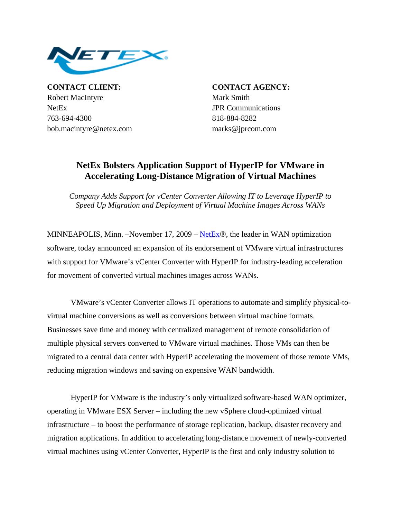

**CONTACT CLIENT: CONTACT AGENCY:** Robert MacIntyre Mark Smith NetEx JPR Communications 763-694-4300 818-884-8282 bob.macintyre@netex.com marks@jprcom.com

## **NetEx Bolsters Application Support of HyperIP for VMware in Accelerating Long-Distance Migration of Virtual Machines**

*Company Adds Support for vCenter Converter Allowing IT to Leverage HyperIP to Speed Up Migration and Deployment of Virtual Machine Images Across WANs* 

MINNEAPOLIS, Minn. –November 17, 2009 –  $NetEx@$ , the leader in WAN optimization software, today announced an expansion of its endorsement of VMware virtual infrastructures with support for VMware's vCenter Converter with HyperIP for industry-leading acceleration for movement of converted virtual machines images across WANs.

VMware's vCenter Converter allows IT operations to automate and simplify physical-tovirtual machine conversions as well as conversions between virtual machine formats. Businesses save time and money with centralized management of remote consolidation of multiple physical servers converted to VMware virtual machines. Those VMs can then be migrated to a central data center with HyperIP accelerating the movement of those remote VMs, reducing migration windows and saving on expensive WAN bandwidth.

HyperIP for VMware is the industry's only virtualized software-based WAN optimizer, operating in VMware ESX Server – including the new vSphere cloud-optimized virtual infrastructure – to boost the performance of storage replication, backup, disaster recovery and migration applications. In addition to accelerating long-distance movement of newly-converted virtual machines using vCenter Converter, HyperIP is the first and only industry solution to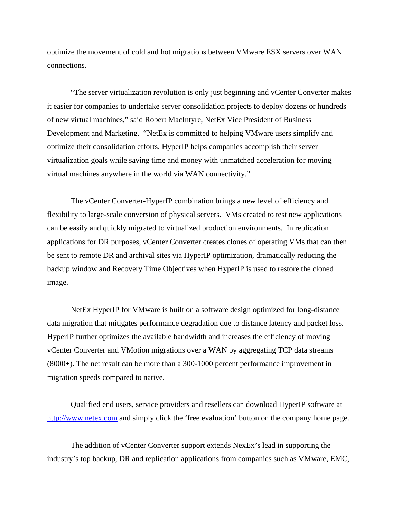optimize the movement of cold and hot migrations between VMware ESX servers over WAN connections.

"The server virtualization revolution is only just beginning and vCenter Converter makes it easier for companies to undertake server consolidation projects to deploy dozens or hundreds of new virtual machines," said Robert MacIntyre, NetEx Vice President of Business Development and Marketing. "NetEx is committed to helping VMware users simplify and optimize their consolidation efforts. HyperIP helps companies accomplish their server virtualization goals while saving time and money with unmatched acceleration for moving virtual machines anywhere in the world via WAN connectivity."

The vCenter Converter-HyperIP combination brings a new level of efficiency and flexibility to large-scale conversion of physical servers. VMs created to test new applications can be easily and quickly migrated to virtualized production environments. In replication applications for DR purposes, vCenter Converter creates clones of operating VMs that can then be sent to remote DR and archival sites via HyperIP optimization, dramatically reducing the backup window and Recovery Time Objectives when HyperIP is used to restore the cloned image.

NetEx HyperIP for VMware is built on a software design optimized for long-distance data migration that mitigates performance degradation due to distance latency and packet loss. HyperIP further optimizes the available bandwidth and increases the efficiency of moving vCenter Converter and VMotion migrations over a WAN by aggregating TCP data streams (8000+). The net result can be more than a 300-1000 percent performance improvement in migration speeds compared to native.

Qualified end users, service providers and resellers can download HyperIP software at http://www.netex.com and simply click the 'free evaluation' button on the company home page.

The addition of vCenter Converter support extends NexEx's lead in supporting the industry's top backup, DR and replication applications from companies such as VMware, EMC,